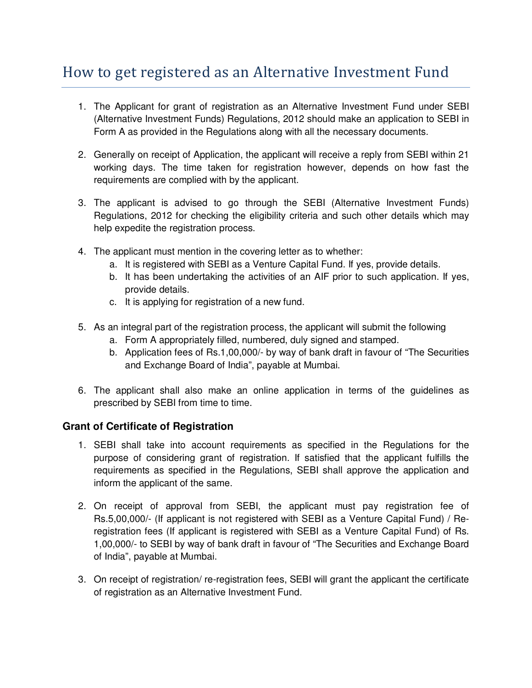## How to get registered as an Alternative Investment Fund

- 1. The Applicant for grant of registration as an Alternative Investment Fund under SEBI (Alternative Investment Funds) Regulations, 2012 should make an application to SEBI in Form A as provided in the Regulations along with all the necessary documents.
- 2. Generally on receipt of Application, the applicant will receive a reply from SEBI within 21 working days. The time taken for registration however, depends on how fast the requirements are complied with by the applicant.
- 3. The applicant is advised to go through the SEBI (Alternative Investment Funds) Regulations, 2012 for checking the eligibility criteria and such other details which may help expedite the registration process.
- 4. The applicant must mention in the covering letter as to whether:
	- a. It is registered with SEBI as a Venture Capital Fund. If yes, provide details.
	- b. It has been undertaking the activities of an AIF prior to such application. If yes, provide details.
	- c. It is applying for registration of a new fund.
- 5. As an integral part of the registration process, the applicant will submit the following
	- a. Form A appropriately filled, numbered, duly signed and stamped.
	- b. Application fees of Rs.1,00,000/- by way of bank draft in favour of "The Securities and Exchange Board of India", payable at Mumbai.
- 6. The applicant shall also make an online application in terms of the guidelines as prescribed by SEBI from time to time.

## **Grant of Certificate of Registration**

- 1. SEBI shall take into account requirements as specified in the Regulations for the purpose of considering grant of registration. If satisfied that the applicant fulfills the requirements as specified in the Regulations, SEBI shall approve the application and inform the applicant of the same.
- 2. On receipt of approval from SEBI, the applicant must pay registration fee of Rs.5,00,000/- (If applicant is not registered with SEBI as a Venture Capital Fund) / Reregistration fees (If applicant is registered with SEBI as a Venture Capital Fund) of Rs. 1,00,000/- to SEBI by way of bank draft in favour of "The Securities and Exchange Board of India", payable at Mumbai.
- 3. On receipt of registration/ re-registration fees, SEBI will grant the applicant the certificate of registration as an Alternative Investment Fund.